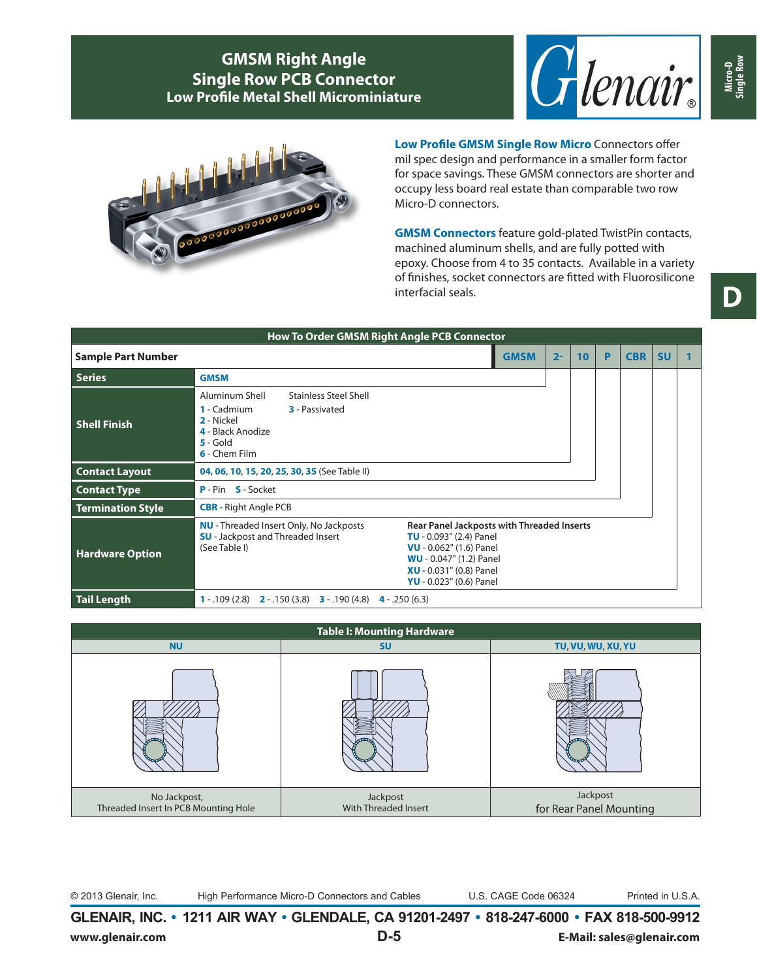



**Low Profile GMSM Single Row Micro** Connectors offer mil spec design and performance in a smaller form factor for space savings. These GMSM connectors are shorter and occupy less board real estate than comparable two row Micro-D connectors.

**GMSM Connectors** feature gold-plated TwistPin contacts, machined aluminum shells, and are fully potted with epoxy. Choose from 4 to 35 contacts. Available in a variety of finishes, socket connectors are fitted with Fluorosilicone interfacial seals.

| How To Order GMSM Right Angle PCB Connector |                                                                                                                                                          |                                                                                                                                                                                                                  |       |    |   |            |           |  |
|---------------------------------------------|----------------------------------------------------------------------------------------------------------------------------------------------------------|------------------------------------------------------------------------------------------------------------------------------------------------------------------------------------------------------------------|-------|----|---|------------|-----------|--|
| <b>Sample Part Number</b>                   |                                                                                                                                                          | <b>GMSM</b>                                                                                                                                                                                                      | $2 -$ | 10 | P | <b>CBR</b> | <b>SU</b> |  |
| <b>Series</b>                               | <b>GMSM</b>                                                                                                                                              |                                                                                                                                                                                                                  |       |    |   |            |           |  |
| <b>Shell Finish</b>                         | Aluminum Shell<br><b>Stainless Steel Shell</b><br>1 - Cadmium<br><b>3</b> - Passivated<br>2 - Nickel<br>4 - Black Anodize<br>$5 - Gold$<br>6 - Chem Film |                                                                                                                                                                                                                  |       |    |   |            |           |  |
| <b>Contact Layout</b>                       | 04, 06, 10, 15, 20, 25, 30, 35 (See Table II)                                                                                                            |                                                                                                                                                                                                                  |       |    |   |            |           |  |
| <b>Contact Type</b>                         | <b>P</b> - Pin <b>S</b> - Socket                                                                                                                         |                                                                                                                                                                                                                  |       |    |   |            |           |  |
| <b>Termination Style</b>                    | <b>CBR</b> - Right Angle PCB                                                                                                                             |                                                                                                                                                                                                                  |       |    |   |            |           |  |
| <b>Hardware Option</b>                      | <b>NU</b> - Threaded Insert Only, No Jackposts<br><b>SU</b> - Jackpost and Threaded Insert<br>(See Table I)                                              | <b>Rear Panel Jackposts with Threaded Inserts</b><br><b>TU</b> - $0.093$ " (2.4) Panel<br>VU - 0.062" (1.6) Panel<br><b>WU</b> - 0.047" (1.2) Panel<br><b>XU</b> - 0.031" (0.8) Panel<br>YU - 0.023" (0.6) Panel |       |    |   |            |           |  |
| <b>Tail Length</b>                          | <b>1</b> - .109 (2.8) <b>2</b> - .150 (3.8) <b>3</b> - .190 (4.8)<br>$4 - .250(6.3)$                                                                     |                                                                                                                                                                                                                  |       |    |   |            |           |  |

| <b>Table I: Mounting Hardware</b>                    |                                  |                                     |  |  |  |  |  |
|------------------------------------------------------|----------------------------------|-------------------------------------|--|--|--|--|--|
| <b>NU</b>                                            | <b>SU</b>                        | TU, VU, WU, XU, YU                  |  |  |  |  |  |
|                                                      |                                  |                                     |  |  |  |  |  |
| No Jackpost,<br>Threaded Insert In PCB Mounting Hole | Jackpost<br>With Threaded Insert | Jackpost<br>for Rear Panel Mounting |  |  |  |  |  |

© 2013 Glenair, Inc. High Performance Micro-D Connectors and Cables U.S. CAGE Code 06324 Printed in U.S.A.

**GLENAIR, INC. • 1211 AIR WAY • GLENDALE, CA 91201-2497 • 818-247-6000 • FAX 818-500-9912 www.glenair.com D-5 E-Mail: sales@glenair.com** **Micro-D Single Row**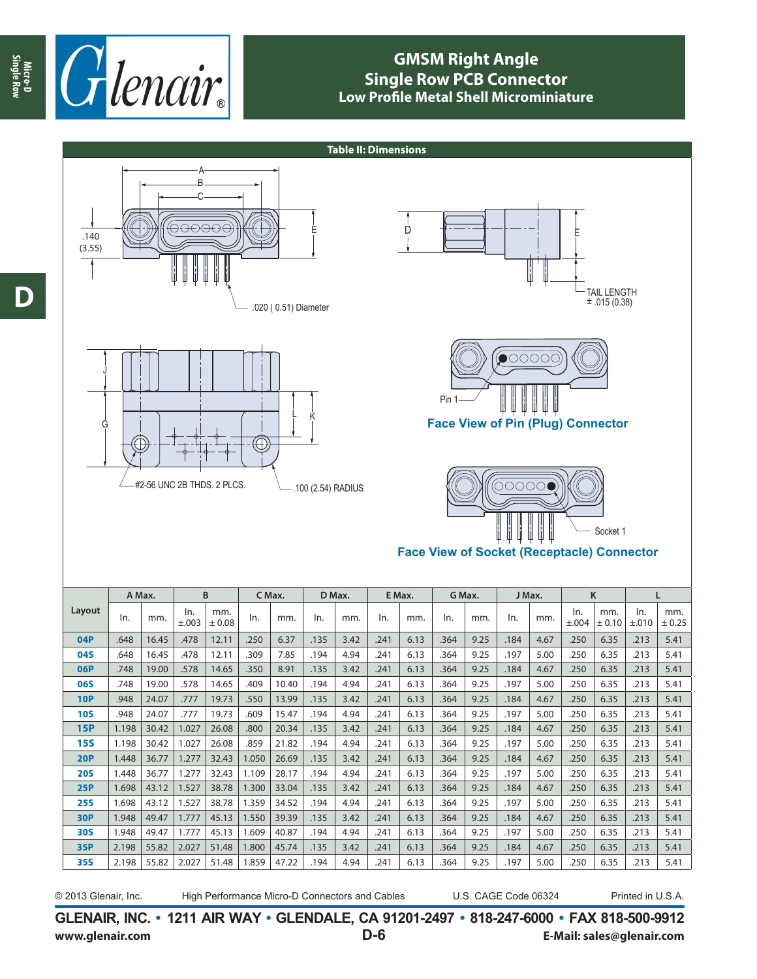

**Table II: Dimensions** A B C (⊖⊖⊖⊖⊖ D E E .140 (3.55) TAIL LENGTH  $\pm$  .015 (0.38) .020 ( 0.51) Diameter  $\circ$ 00000 J **Pin** L K **Face View of Pin (Plug) Connector** G  $\bigoplus$ #2-56 UNC 2B THDS. 2 PLCS. .100 (2.54) RADIUS 00000 Socket 1 **Face View of Socket (Receptacle) Connector A Max. B C Max. D Max. E Max. G Max. J Max. K L Layout**  $\ln$  mm.  $\ln$ . mm.<br> $\pm 0.08$ ± 0.08 In. mm. In. mm. In. mm. In. mm. In. mm. In. mm. In. ±.003 ±.004  $+0.10$ ±.010 **04P** .648 | 16.45 | .184 | .648 | 16.45 | .135 | 3.42 | .135 | 3.42 | .135 | 3.42 | .131 | .250 | .184 | .250 | .213 | .213 | 5.41 **04S** .648 .213 .415 .6.35 .41 .197 .5.00 .6.35 .411 .494 .241 .241 .241 .309 .250 .541 .478 .478 .213 .364 .213 **06P** .748 | 19.00 .578 | 14.65 .350 .350 | 3.91 .135 | 3.42 .241 | 6.13 .364 | 9.25 | 3.42 .250 | 6.35 | .213 | 5.41 241 | 6.13 | 250 | 250 | 250 | 197 | 5.00 | 19.00 | 19.40 | 19.40 | 10.40 | 10.40 | 10.40 | 10.40 | 19.41 | 6.13 | 364 | 9.25 | 213 | 5.41 | 5.00 | 250 | 6.35 | 213 | 5.41 10**P** .948 .213 .213 .241 .184 .184 .184 .364 .364 .364 .241 .241 .241 .241 .364 .2407 .250 .351 .213 .213 .213 10**S** .948 24.07 .777 .1977 .609 .6.13 .194 .241 .241 .241 .241 .364 .364 .241 .197 .250 .213 .213 .213 .41 **15P** 1.198 30.42 1.027 26.08 .800 20.34 .135 3.42 .241 6.13 .364 9.25 .184 4.67 .250 6.35 .213 5.41 15S | 1.198 | 30.42 | 1.027 | 26.08 .859 | 21.82 .194 | 4.94 | .241 | 6.13 | .364 | 9.25 | .197 | 5.00 | .250 | 6.35 | .213 | 5.41 **20P** 1.448 36.77 1.277 32.43 1.050 26.69 .135 3.42 .241 6.13 .364 9.25 .184 4.67 .250 6.35 .213 5.41 **20S** 1.448 36.77 1.277 32.43 1.109 28.17 .194 4.94 .241 6.13 .364 9.25 .197 5.00 .250 6.35 .213 5.41 **25P** 1.698 43.12 1.527 38.78 1.300 33.04 .135 3.42 .241 6.13 .364 9.25 .184 4.67 .250 6.35 .213 5.41 **25S** 1.698 43.12 1.527 38.78 1.359 34.52 .194 4.94 .241 6.13 .364 9.25 .197 5.00 .250 6.35 .213 5.41 **30P** 1.948 49.47 1.777 45.13 1.550 39.39 .135 3.42 .241 6.13 .364 9.25 .184 4.67 .250 6.35 .213 5.41

mm.  $± 0.25$ 

**GLENAIR, INC. • 1211 AIR WAY • GLENDALE, CA 91201-2497 • 818-247-6000 • FAX 818-500-9912 www.glenair.com D-6 E-Mail: sales@glenair.com**

**30S** 1.948 49.47 1.777 45.13 1.609 40.87 .194 4.94 .241 6.13 .364 9.25 .197 5.00 .250 6.35 .213 5.41 **35P** 2.198 55.82 2.027 51.48 1.800 45.74 .135 3.42 .241 6.13 .364 9.25 .184 4.67 .250 6.35 .213 5.41 **35S** 2.198 55.82 2.027 51.48 1.859 47.22 .194 4.94 .241 6.13 .364 9.25 .197 5.00 .250 6.35 .213 5.41

**Micro-D Single Row**

<sup>© 2013</sup> Glenair, Inc. High Performance Micro-D Connectors and Cables U.S. CAGE Code 06324 Printed in U.S.A.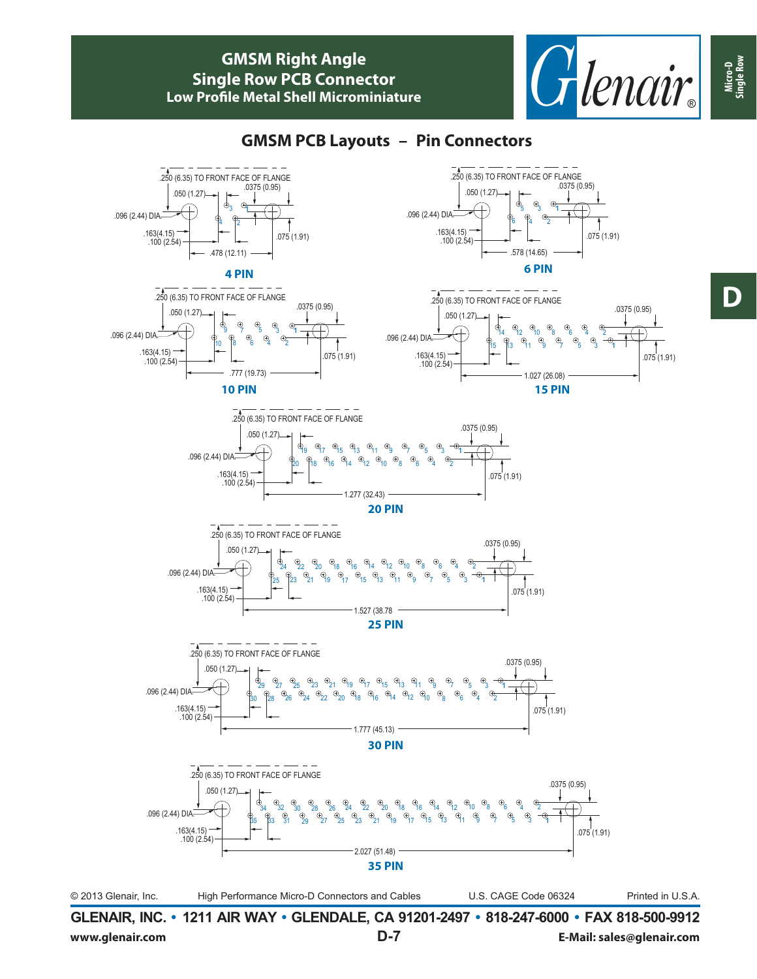

### **GMSM PCB Layouts – Pin Connectors**



**GLENAIR, INC. • 1211 AIR WAY • GLENDALE, CA 91201-2497 • 818-247-6000 • FAX 818-500-9912 www.glenair.com D-7 E-Mail: sales@glenair.com** **Micro-D Single Row**